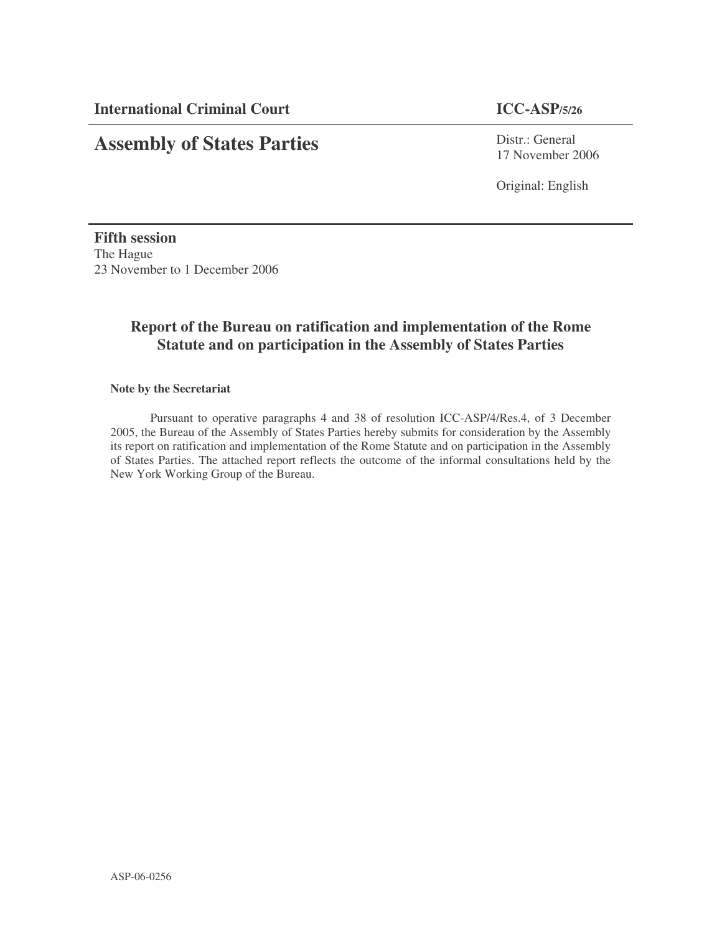# **Assembly of States Parties**

Distr.: General 17 November 2006

Original: English

**Fifth session** The Hague 23 November to 1 December 2006

# **Report of the Bureau on ratification and implementation of the Rome Statute and on participation in the Assembly of States Parties**

### **Note by the Secretariat**

Pursuant to operative paragraphs 4 and 38 of resolution ICC-ASP/4/Res.4, of 3 December 2005, the Bureau of the Assembly of States Parties hereby submits for consideration by the Assembly its report on ratification and implementation of the Rome Statute and on participation in the Assembly of States Parties. The attached report reflects the outcome of the informal consultations held by the New York Working Group of the Bureau.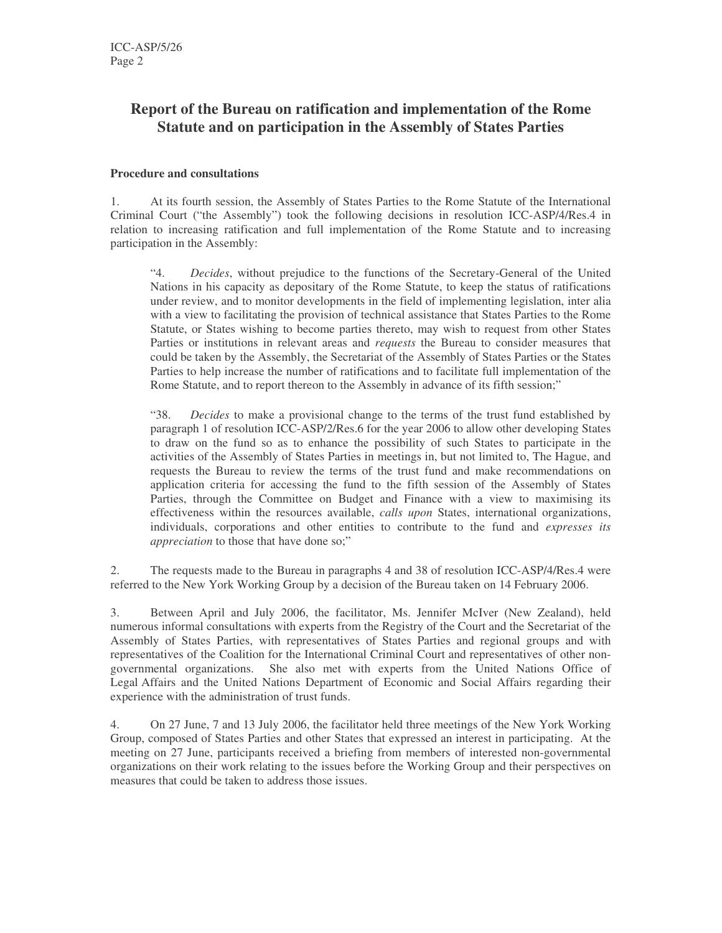# **Report of the Bureau on ratification and implementation of the Rome Statute and on participation in the Assembly of States Parties**

### **Procedure and consultations**

1. At its fourth session, the Assembly of States Parties to the Rome Statute of the International Criminal Court ("the Assembly") took the following decisions in resolution ICC-ASP/4/Res.4 in relation to increasing ratification and full implementation of the Rome Statute and to increasing participation in the Assembly:

"4. *Decides*, without prejudice to the functions of the Secretary-General of the United Nations in his capacity as depositary of the Rome Statute, to keep the status of ratifications under review, and to monitor developments in the field of implementing legislation, inter alia with a view to facilitating the provision of technical assistance that States Parties to the Rome Statute, or States wishing to become parties thereto, may wish to request from other States Parties or institutions in relevant areas and *requests* the Bureau to consider measures that could be taken by the Assembly, the Secretariat of the Assembly of States Parties or the States Parties to help increase the number of ratifications and to facilitate full implementation of the Rome Statute, and to report thereon to the Assembly in advance of its fifth session;"

"38. *Decides* to make a provisional change to the terms of the trust fund established by paragraph 1 of resolution ICC-ASP/2/Res.6 for the year 2006 to allow other developing States to draw on the fund so as to enhance the possibility of such States to participate in the activities of the Assembly of States Parties in meetings in, but not limited to, The Hague, and requests the Bureau to review the terms of the trust fund and make recommendations on application criteria for accessing the fund to the fifth session of the Assembly of States Parties, through the Committee on Budget and Finance with a view to maximising its effectiveness within the resources available, *calls upon* States, international organizations, individuals, corporations and other entities to contribute to the fund and *expresses its appreciation* to those that have done so;"

2. The requests made to the Bureau in paragraphs 4 and 38 of resolution ICC-ASP/4/Res.4 were referred to the New York Working Group by a decision of the Bureau taken on 14 February 2006.

3. Between April and July 2006, the facilitator, Ms. Jennifer McIver (New Zealand), held numerous informal consultations with experts from the Registry of the Court and the Secretariat of the Assembly of States Parties, with representatives of States Parties and regional groups and with representatives of the Coalition for the International Criminal Court and representatives of other nongovernmental organizations. She also met with experts from the United Nations Office of Legal Affairs and the United Nations Department of Economic and Social Affairs regarding their experience with the administration of trust funds.

4. On 27 June, 7 and 13 July 2006, the facilitator held three meetings of the New York Working Group, composed of States Parties and other States that expressed an interest in participating. At the meeting on 27 June, participants received a briefing from members of interested non-governmental organizations on their work relating to the issues before the Working Group and their perspectives on measures that could be taken to address those issues.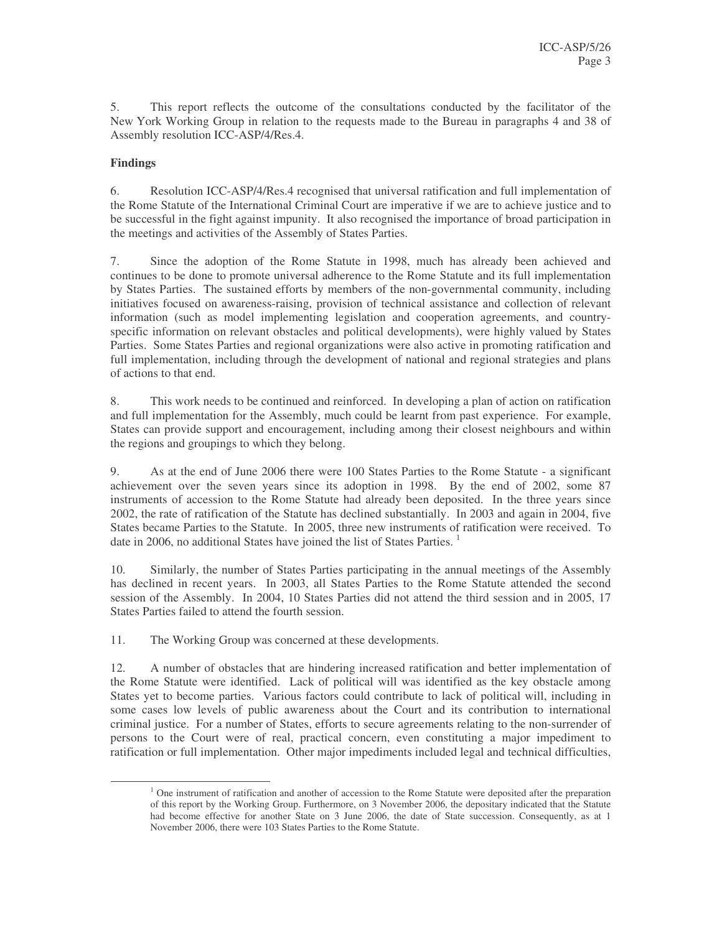5. This report reflects the outcome of the consultations conducted by the facilitator of the New York Working Group in relation to the requests made to the Bureau in paragraphs 4 and 38 of Assembly resolution ICC-ASP/4/Res.4.

### **Findings**

6. Resolution ICC-ASP/4/Res.4 recognised that universal ratification and full implementation of the Rome Statute of the International Criminal Court are imperative if we are to achieve justice and to be successful in the fight against impunity. It also recognised the importance of broad participation in the meetings and activities of the Assembly of States Parties.

7. Since the adoption of the Rome Statute in 1998, much has already been achieved and continues to be done to promote universal adherence to the Rome Statute and its full implementation by States Parties. The sustained efforts by members of the non-governmental community, including initiatives focused on awareness-raising, provision of technical assistance and collection of relevant information (such as model implementing legislation and cooperation agreements, and countryspecific information on relevant obstacles and political developments), were highly valued by States Parties. Some States Parties and regional organizations were also active in promoting ratification and full implementation, including through the development of national and regional strategies and plans of actions to that end.

8. This work needs to be continued and reinforced. In developing a plan of action on ratification and full implementation for the Assembly, much could be learnt from past experience. For example, States can provide support and encouragement, including among their closest neighbours and within the regions and groupings to which they belong.

9. As at the end of June 2006 there were 100 States Parties to the Rome Statute - a significant achievement over the seven years since its adoption in 1998. By the end of 2002, some 87 instruments of accession to the Rome Statute had already been deposited. In the three years since 2002, the rate of ratification of the Statute has declined substantially. In 2003 and again in 2004, five States became Parties to the Statute. In 2005, three new instruments of ratification were received. To date in 2006, no additional States have joined the list of States Parties.<sup>1</sup>

10. Similarly, the number of States Parties participating in the annual meetings of the Assembly has declined in recent years. In 2003, all States Parties to the Rome Statute attended the second session of the Assembly. In 2004, 10 States Parties did not attend the third session and in 2005, 17 States Parties failed to attend the fourth session.

11. The Working Group was concerned at these developments.

12. A number of obstacles that are hindering increased ratification and better implementation of the Rome Statute were identified. Lack of political will was identified as the key obstacle among States yet to become parties. Various factors could contribute to lack of political will, including in some cases low levels of public awareness about the Court and its contribution to international criminal justice. For a number of States, efforts to secure agreements relating to the non-surrender of persons to the Court were of real, practical concern, even constituting a major impediment to ratification or full implementation. Other major impediments included legal and technical difficulties,

<sup>&</sup>lt;sup>1</sup> One instrument of ratification and another of accession to the Rome Statute were deposited after the preparation of this report by the Working Group. Furthermore, on 3 November 2006, the depositary indicated that the Statute had become effective for another State on 3 June 2006, the date of State succession. Consequently, as at 1 November 2006, there were 103 States Parties to the Rome Statute.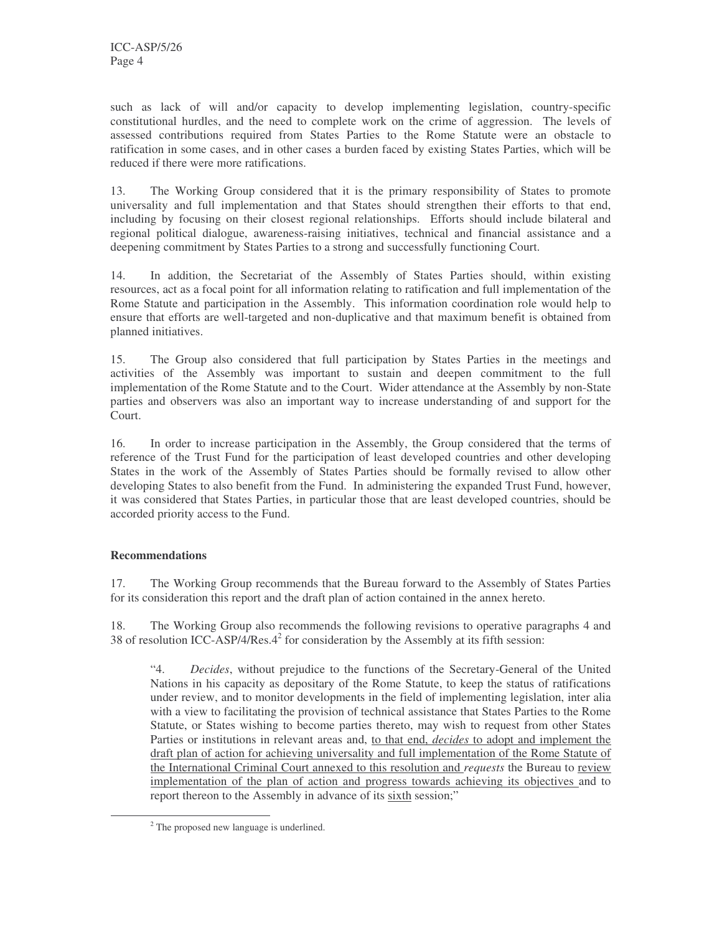such as lack of will and/or capacity to develop implementing legislation, country-specific constitutional hurdles, and the need to complete work on the crime of aggression. The levels of assessed contributions required from States Parties to the Rome Statute were an obstacle to ratification in some cases, and in other cases a burden faced by existing States Parties, which will be reduced if there were more ratifications.

13. The Working Group considered that it is the primary responsibility of States to promote universality and full implementation and that States should strengthen their efforts to that end, including by focusing on their closest regional relationships. Efforts should include bilateral and regional political dialogue, awareness-raising initiatives, technical and financial assistance and a deepening commitment by States Parties to a strong and successfully functioning Court.

14. In addition, the Secretariat of the Assembly of States Parties should, within existing resources, act as a focal point for all information relating to ratification and full implementation of the Rome Statute and participation in the Assembly. This information coordination role would help to ensure that efforts are well-targeted and non-duplicative and that maximum benefit is obtained from planned initiatives.

15. The Group also considered that full participation by States Parties in the meetings and activities of the Assembly was important to sustain and deepen commitment to the full implementation of the Rome Statute and to the Court. Wider attendance at the Assembly by non-State parties and observers was also an important way to increase understanding of and support for the Court.

16. In order to increase participation in the Assembly, the Group considered that the terms of reference of the Trust Fund for the participation of least developed countries and other developing States in the work of the Assembly of States Parties should be formally revised to allow other developing States to also benefit from the Fund. In administering the expanded Trust Fund, however, it was considered that States Parties, in particular those that are least developed countries, should be accorded priority access to the Fund.

### **Recommendations**

17. The Working Group recommends that the Bureau forward to the Assembly of States Parties for its consideration this report and the draft plan of action contained in the annex hereto.

18. The Working Group also recommends the following revisions to operative paragraphs 4 and 38 of resolution ICC-ASP/4/Res.4 2 for consideration by the Assembly at its fifth session:

"4. *Decides*, without prejudice to the functions of the Secretary-General of the United Nations in his capacity as depositary of the Rome Statute, to keep the status of ratifications under review, and to monitor developments in the field of implementing legislation, inter alia with a view to facilitating the provision of technical assistance that States Parties to the Rome Statute, or States wishing to become parties thereto, may wish to request from other States Parties or institutions in relevant areas and, to that end, *decides* to adopt and implement the draft plan of action for achieving universality and full implementation of the Rome Statute of the International Criminal Court annexed to this resolution and *requests* the Bureau to review implementation of the plan of action and progress towards achieving its objectives and to report thereon to the Assembly in advance of its sixth session;"

<sup>&</sup>lt;sup>2</sup> The proposed new language is underlined.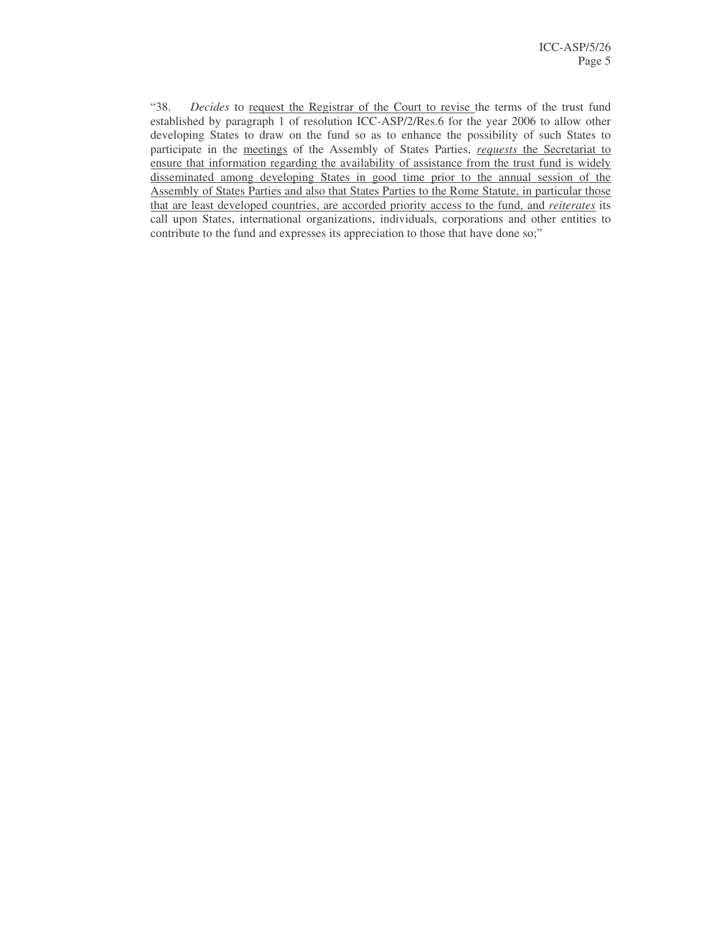"38. *Decides* to request the Registrar of the Court to revise the terms of the trust fund established by paragraph 1 of resolution ICC-ASP/2/Res.6 for the year 2006 to allow other developing States to draw on the fund so as to enhance the possibility of such States to participate in the meetings of the Assembly of States Parties, *requests* the Secretariat to ensure that information regarding the availability of assistance from the trust fund is widely disseminated among developing States in good time prior to the annual session of the Assembly of States Parties and also that States Parties to the Rome Statute, in particular those that are least developed countries, are accorded priority access to the fund, and *reiterates* its call upon States, international organizations, individuals, corporations and other entities to contribute to the fund and expresses its appreciation to those that have done so;"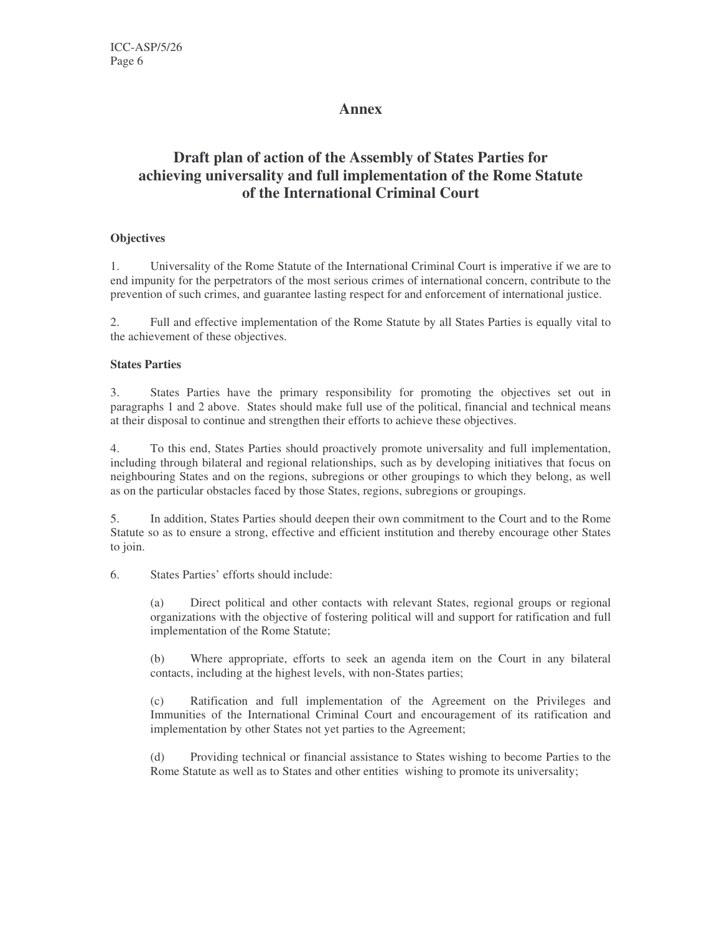### **Annex**

# **Draft plan of action of the Assembly of States Parties for achieving universality and full implementation of the Rome Statute of the International Criminal Court**

### **Objectives**

1. Universality of the Rome Statute of the International Criminal Court is imperative if we are to end impunity for the perpetrators of the most serious crimes of international concern, contribute to the prevention of such crimes, and guarantee lasting respect for and enforcement of international justice.

2. Full and effective implementation of the Rome Statute by all States Parties is equally vital to the achievement of these objectives.

### **States Parties**

3. States Parties have the primary responsibility for promoting the objectives set out in paragraphs 1 and 2 above. States should make full use of the political, financial and technical means at their disposal to continue and strengthen their efforts to achieve these objectives.

4. To this end, States Parties should proactively promote universality and full implementation, including through bilateral and regional relationships, such as by developing initiatives that focus on neighbouring States and on the regions, subregions or other groupings to which they belong, as well as on the particular obstacles faced by those States, regions, subregions or groupings.

5. In addition, States Parties should deepen their own commitment to the Court and to the Rome Statute so as to ensure a strong, effective and efficient institution and thereby encourage other States to join.

6. States Parties' efforts should include:

(a) Direct political and other contacts with relevant States, regional groups or regional organizations with the objective of fostering political will and support for ratification and full implementation of the Rome Statute;

(b) Where appropriate, efforts to seek an agenda item on the Court in any bilateral contacts, including at the highest levels, with non-States parties;

(c) Ratification and full implementation of the Agreement on the Privileges and Immunities of the International Criminal Court and encouragement of its ratification and implementation by other States not yet parties to the Agreement;

(d) Providing technical or financial assistance to States wishing to become Parties to the Rome Statute as well as to States and other entities wishing to promote its universality;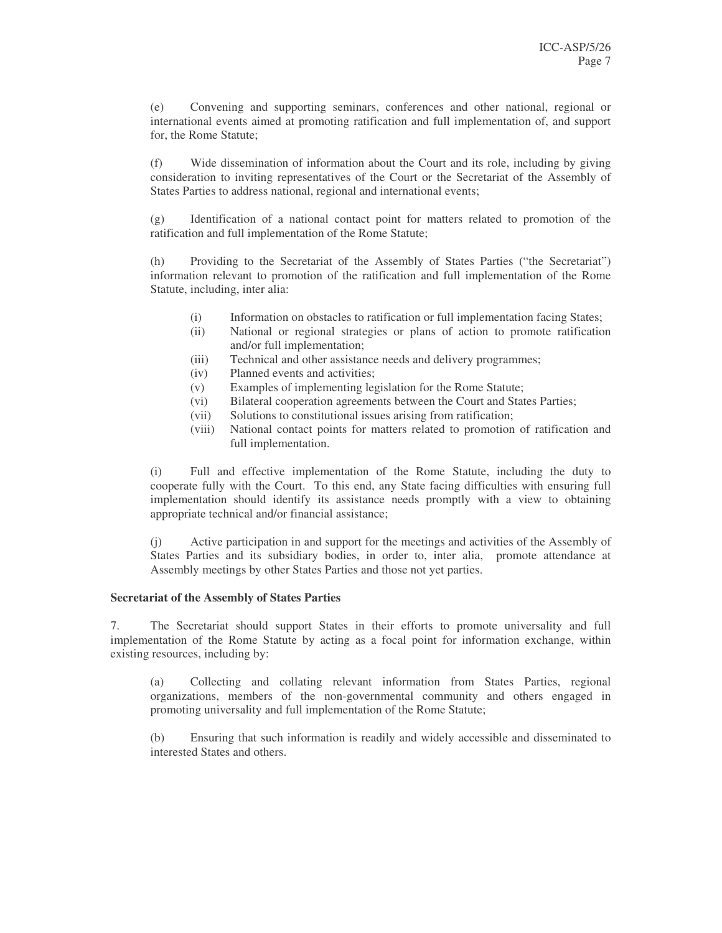(e) Convening and supporting seminars, conferences and other national, regional or international events aimed at promoting ratification and full implementation of, and support for, the Rome Statute;

(f) Wide dissemination of information about the Court and its role, including by giving consideration to inviting representatives of the Court or the Secretariat of the Assembly of States Parties to address national, regional and international events;

(g) Identification of a national contact point for matters related to promotion of the ratification and full implementation of the Rome Statute;

(h) Providing to the Secretariat of the Assembly of States Parties ("the Secretariat") information relevant to promotion of the ratification and full implementation of the Rome Statute, including, inter alia:

- (i) Information on obstacles to ratification or full implementation facing States;
- (ii) National or regional strategies or plans of action to promote ratification and/or full implementation;
- (iii) Technical and other assistance needs and delivery programmes;
- (iv) Planned events and activities;
- (v) Examples of implementing legislation for the Rome Statute;
- (vi) Bilateral cooperation agreements between the Court and States Parties;
- (vii) Solutions to constitutional issues arising from ratification;
- (viii) National contact points for matters related to promotion of ratification and full implementation.

(i) Full and effective implementation of the Rome Statute, including the duty to cooperate fully with the Court. To this end, any State facing difficulties with ensuring full implementation should identify its assistance needs promptly with a view to obtaining appropriate technical and/or financial assistance;

(j) Active participation in and support for the meetings and activities of the Assembly of States Parties and its subsidiary bodies, in order to, inter alia, promote attendance at Assembly meetings by other States Parties and those not yet parties.

#### **Secretariat of the Assembly of States Parties**

7. The Secretariat should support States in their efforts to promote universality and full implementation of the Rome Statute by acting as a focal point for information exchange, within existing resources, including by:

(a) Collecting and collating relevant information from States Parties, regional organizations, members of the non-governmental community and others engaged in promoting universality and full implementation of the Rome Statute;

(b) Ensuring that such information is readily and widely accessible and disseminated to interested States and others.